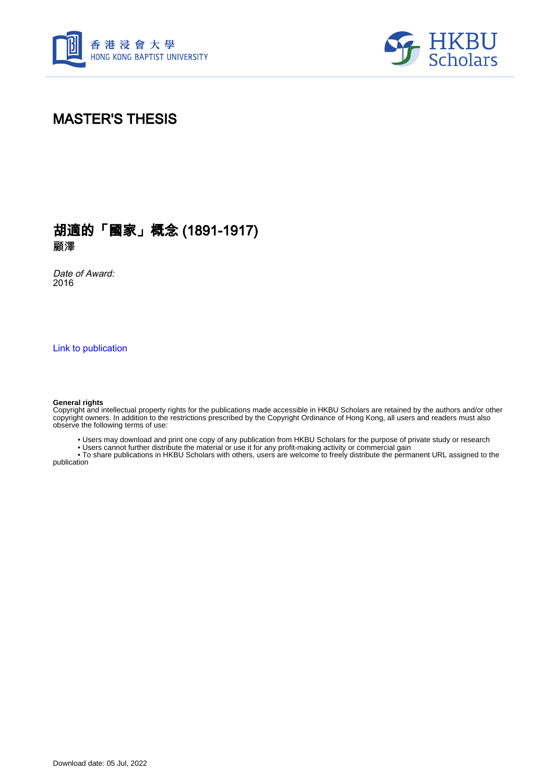



# MASTER'S THESIS

## 胡適的「國家」概念 (1891-1917) 顧澤

Date of Award: 2016

[Link to publication](https://scholars.hkbu.edu.hk/en/studentTheses/a35eeec7-07df-4761-aca9-7b5bdc10d387)

#### **General rights**

Copyright and intellectual property rights for the publications made accessible in HKBU Scholars are retained by the authors and/or other copyright owners. In addition to the restrictions prescribed by the Copyright Ordinance of Hong Kong, all users and readers must also observe the following terms of use:

• Users may download and print one copy of any publication from HKBU Scholars for the purpose of private study or research

• Users cannot further distribute the material or use it for any profit-making activity or commercial gain

 • To share publications in HKBU Scholars with others, users are welcome to freely distribute the permanent URL assigned to the publication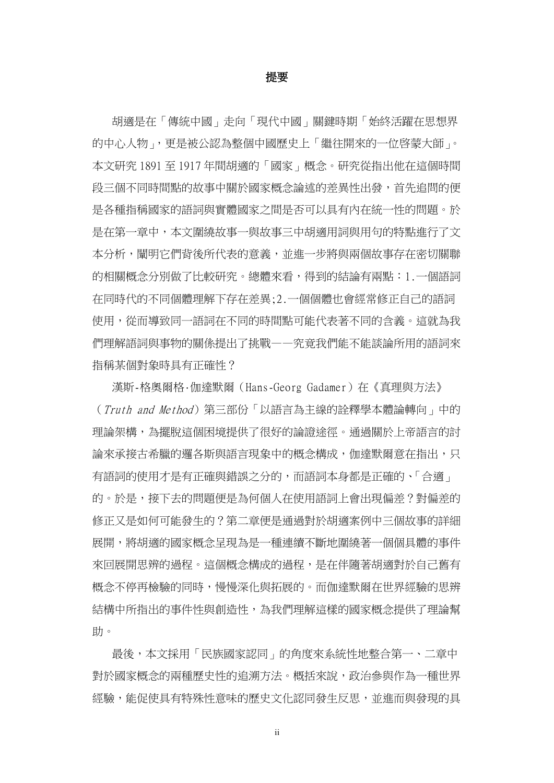#### 提要

胡適是在「傳統中國」走向「現代中國」關鍵時期「始終活躍在思想界 的中心人物」,更是被公認為整個中國歷史上「繼往開來的一位啓蒙大師」。 本文研究 1891 至 1917 年間胡適的「國家」概念。研究從指出他在這個時間 段三個不同時間點的故事中關於國家概念論述的差異性出發,首先追問的便 是各種指稱國家的語詞與實體國家之間是否可以具有內在統一性的問題。於 是在第一章中,本文圍繞故事一與故事三中胡適用詞與用句的特點進行了文 本分析,闡明它們背後所代表的意義,並進一步將與兩個故事存在密切關聯 的相關概念分別做了比較研究。總體來看,得到的結論有兩點:1.一個語詞 在同時代的不同個體理解下存在差異;2.一個個體也會經常修正自己的語詞 使用,從而導致同一語詞在不同的時間點可能代表著不同的含義。這就為我 們理解語詞與事物的關係提出了挑戰——究竟我們能不能談論所用的語詞來 指稱某個對象時具有正確性?

漢斯-格奧爾格·伽達默爾(Hans-Georg Gadamer)在《真理與方法》 (Truth and Method)第三部份「以語言為主線的詮釋學本體論轉向」中的 理論架構,為擺脫這個困境提供了很好的論證途徑。通過關於上帝語言的討 論來承接古希臘的邏各斯與語言現象中的概念構成,伽達默爾音在指出,只 有語詞的使用才是有正確與錯誤之分的,而語詞本身都是正確的、「合適」 的。於是,接下去的問題便是為何個人在使用語詞上會出現偏差?對偏差的 修正又是如何可能發生的?第二章便是通過對於胡適案例中三個故事的詳細 展開,將胡適的國家概念呈現為是一種連續不斷地圍繞著一個個具體的事件 來回展開思辨的過程。這個概念構成的過程,是在伴隨著胡滴對於自己舊有 概念不停再檢驗的同時,慢慢深化與拓展的。而伽達默爾在世界經驗的思辨 結構中所指出的事件性與創造性,為我們理解這樣的國家概念提供了理論幫 助。

最後,本文採用「民族國家認同」的角度來系統性地整合第一、二章中 對於國家概念的兩種歷史性的追溯方法。概括來說,政治參與作為一種世界 經驗,能促使具有特殊性意味的歷史文化認同發生反思,並進而與發現的具

ii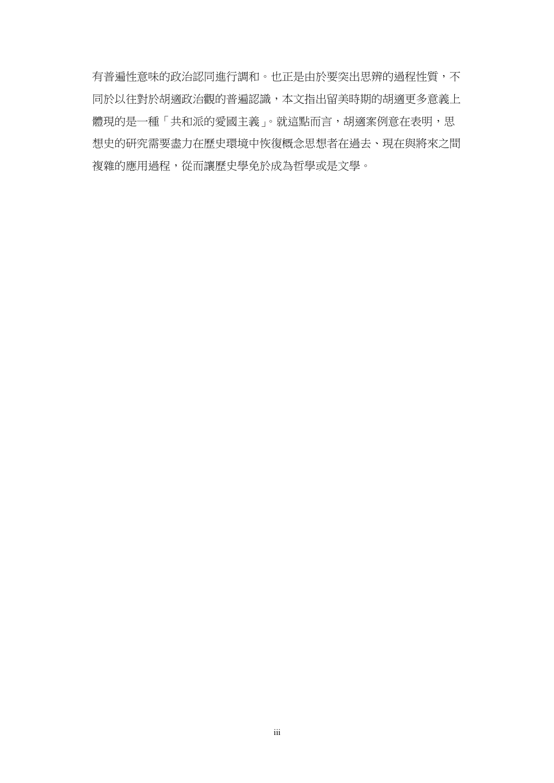有普遍性意味的政治認同進行調和。也正是由於要突出思辨的過程性質,不 同於以往對於胡適政治觀的普遍認識,本文指出留美時期的胡適更多意義上 體現的是一種「共和派的愛國主義」。就這點而言,胡適案例意在表明,思 想史的研究需要盡力在歷史環境中恢復概念思想者在過去、現在與將來之間 複雜的應用過程,從而讓歷史學免於成為哲學或是文學。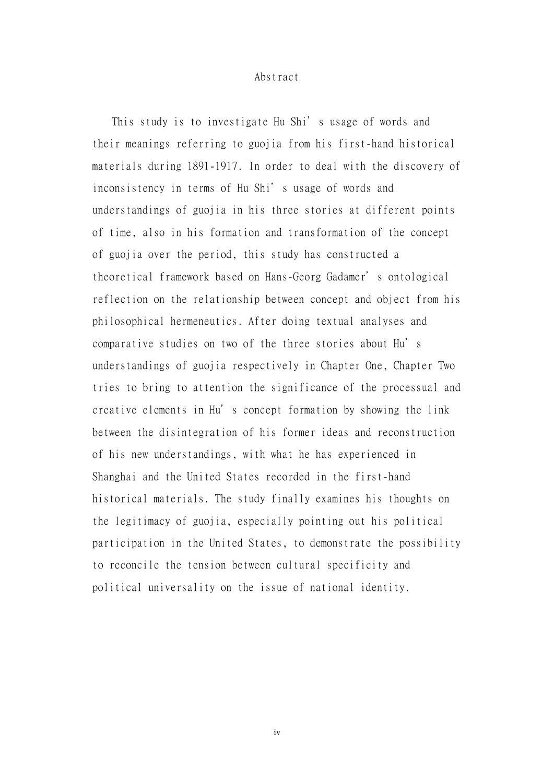### Abstract

This study is to investigate Hu Shi's usage of words and their meanings referring to guojia from his first-hand historical materials during 1891-1917. In order to deal with the discovery of inconsistency in terms of Hu Shi's usage of words and understandings of guojia in his three stories at different points of time, also in his formation and transformation of the concept of guojia over the period, this study has constructed a theoretical framework based on Hans-Georg Gadamer's ontological reflection on the relationship between concept and object from his philosophical hermeneutics. After doing textual analyses and comparative studies on two of the three stories about Hu's understandings of guojia respectively in Chapter One, Chapter Two tries to bring to attention the significance of the processual and creative elements in Hu's concept formation by showing the link between the disintegration of his former ideas and reconstruction of his new understandings, with what he has experienced in Shanghai and the United States recorded in the first-hand historical materials. The study finally examines his thoughts on the legitimacy of guojia, especially pointing out his political participation in the United States, to demonstrate the possibility to reconcile the tension between cultural specificity and political universality on the issue of national identity.

iv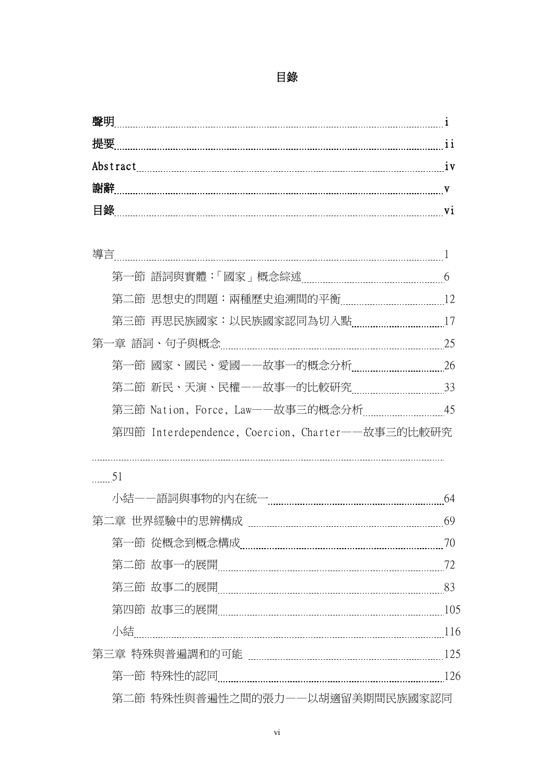### 目錄

| 聲明       |                |
|----------|----------------|
| 提要       |                |
| Abstract | 1 <sub>V</sub> |
| 镏储       |                |
| 目錄       |                |

|                | 第三節 Nation, Force, Law-一故事三的概念分析 ____________________45 |  |
|----------------|---------------------------------------------------------|--|
|                | 第四節 Interdependence, Coercion, Charter——故事三的比較研究        |  |
|                |                                                         |  |
| $\frac{51}{2}$ |                                                         |  |
|                |                                                         |  |
|                |                                                         |  |
|                |                                                         |  |
|                |                                                         |  |
|                |                                                         |  |
|                |                                                         |  |
|                |                                                         |  |
|                |                                                         |  |
|                |                                                         |  |

第二節 特殊性與普遍性之間的張力——以胡適留美期間民族國家認同